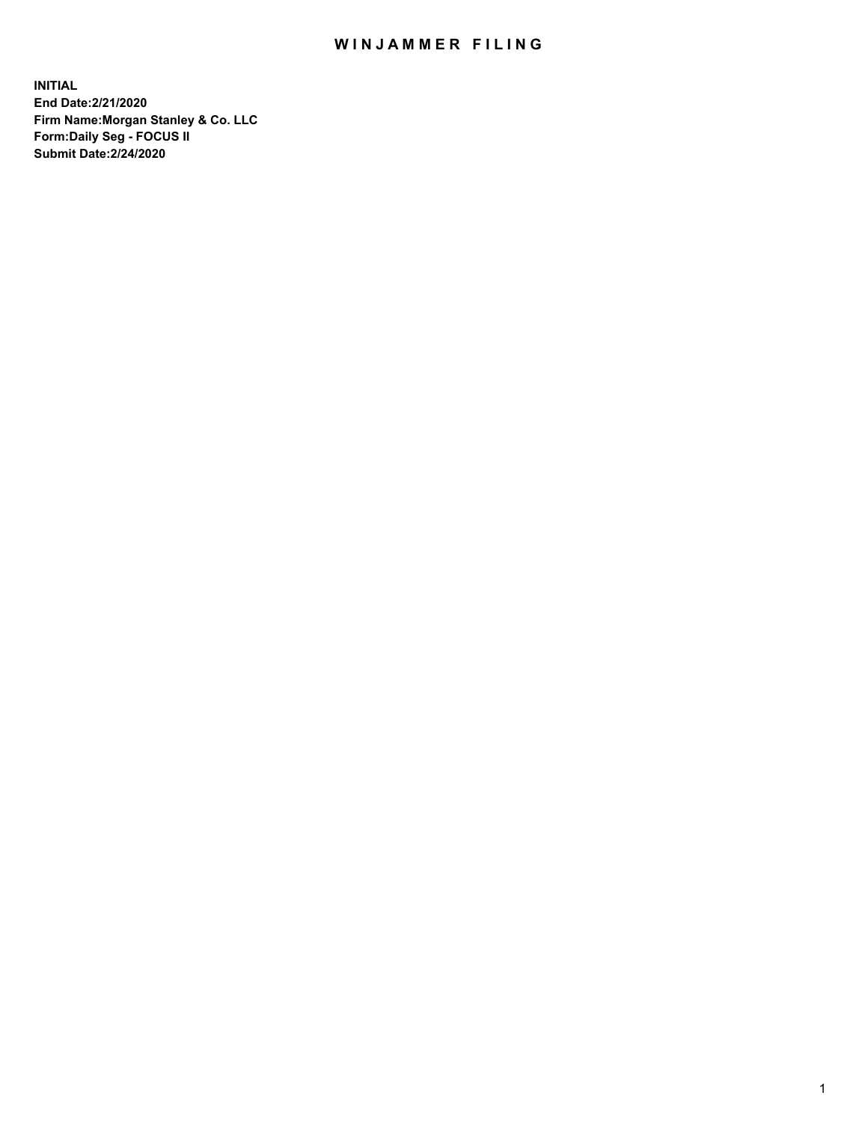## WIN JAMMER FILING

**INITIAL End Date:2/21/2020 Firm Name:Morgan Stanley & Co. LLC Form:Daily Seg - FOCUS II Submit Date:2/24/2020**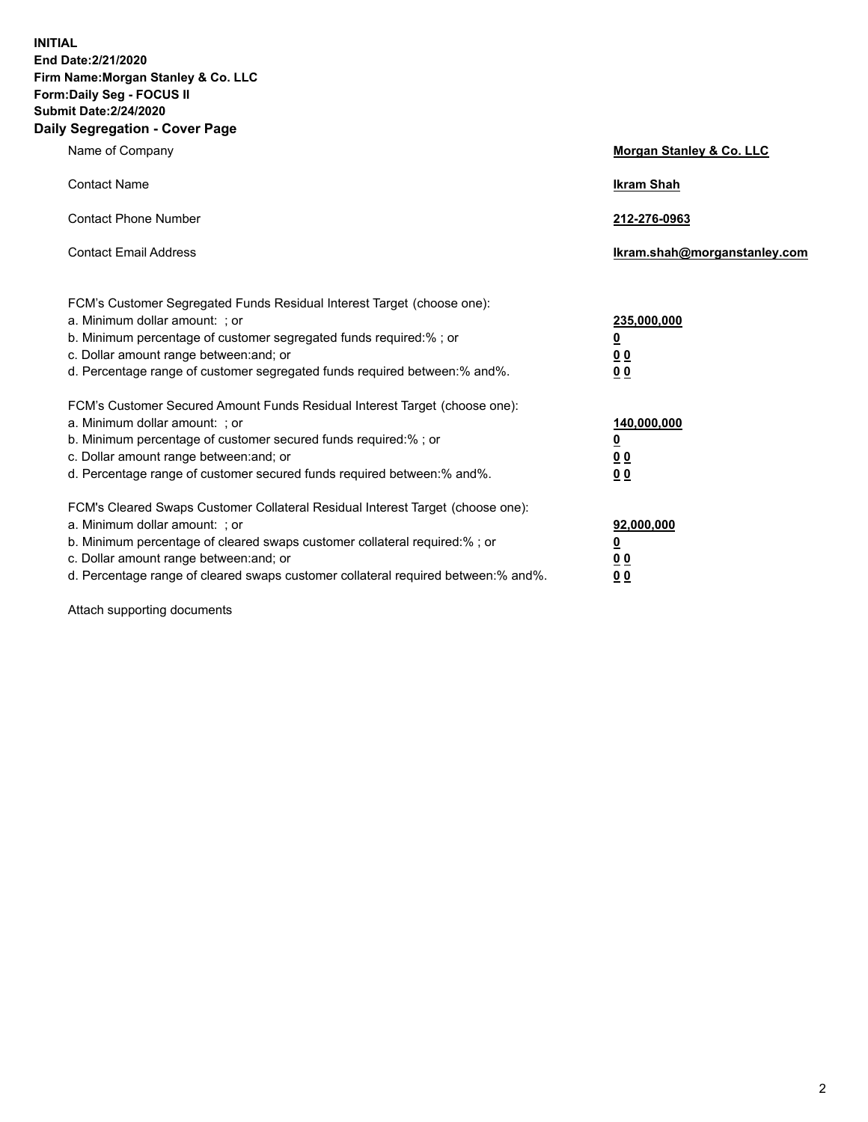**INITIAL End Date:2/21/2020 Firm Name:Morgan Stanley & Co. LLC Form:Daily Seg - FOCUS II Submit Date:2/24/2020 Daily Segregation - Cover Page**

| Name of Company                                                                                                                                                                                                                                                                                                                | Morgan Stanley & Co. LLC                                |
|--------------------------------------------------------------------------------------------------------------------------------------------------------------------------------------------------------------------------------------------------------------------------------------------------------------------------------|---------------------------------------------------------|
| <b>Contact Name</b>                                                                                                                                                                                                                                                                                                            | <b>Ikram Shah</b>                                       |
| <b>Contact Phone Number</b>                                                                                                                                                                                                                                                                                                    | 212-276-0963                                            |
| <b>Contact Email Address</b>                                                                                                                                                                                                                                                                                                   | Ikram.shah@morganstanley.com                            |
| FCM's Customer Segregated Funds Residual Interest Target (choose one):<br>a. Minimum dollar amount: ; or<br>b. Minimum percentage of customer segregated funds required:% ; or<br>c. Dollar amount range between: and; or<br>d. Percentage range of customer segregated funds required between:% and%.                         | 235,000,000<br><u>0</u><br><u>00</u><br><u>00</u>       |
| FCM's Customer Secured Amount Funds Residual Interest Target (choose one):<br>a. Minimum dollar amount: ; or<br>b. Minimum percentage of customer secured funds required:%; or<br>c. Dollar amount range between: and; or<br>d. Percentage range of customer secured funds required between:% and%.                            | 140,000,000<br><u>0</u><br><u>0 0</u><br>0 <sub>0</sub> |
| FCM's Cleared Swaps Customer Collateral Residual Interest Target (choose one):<br>a. Minimum dollar amount: ; or<br>b. Minimum percentage of cleared swaps customer collateral required:% ; or<br>c. Dollar amount range between: and; or<br>d. Percentage range of cleared swaps customer collateral required between:% and%. | 92,000,000<br><u>0</u><br><u>00</u><br>00               |

Attach supporting documents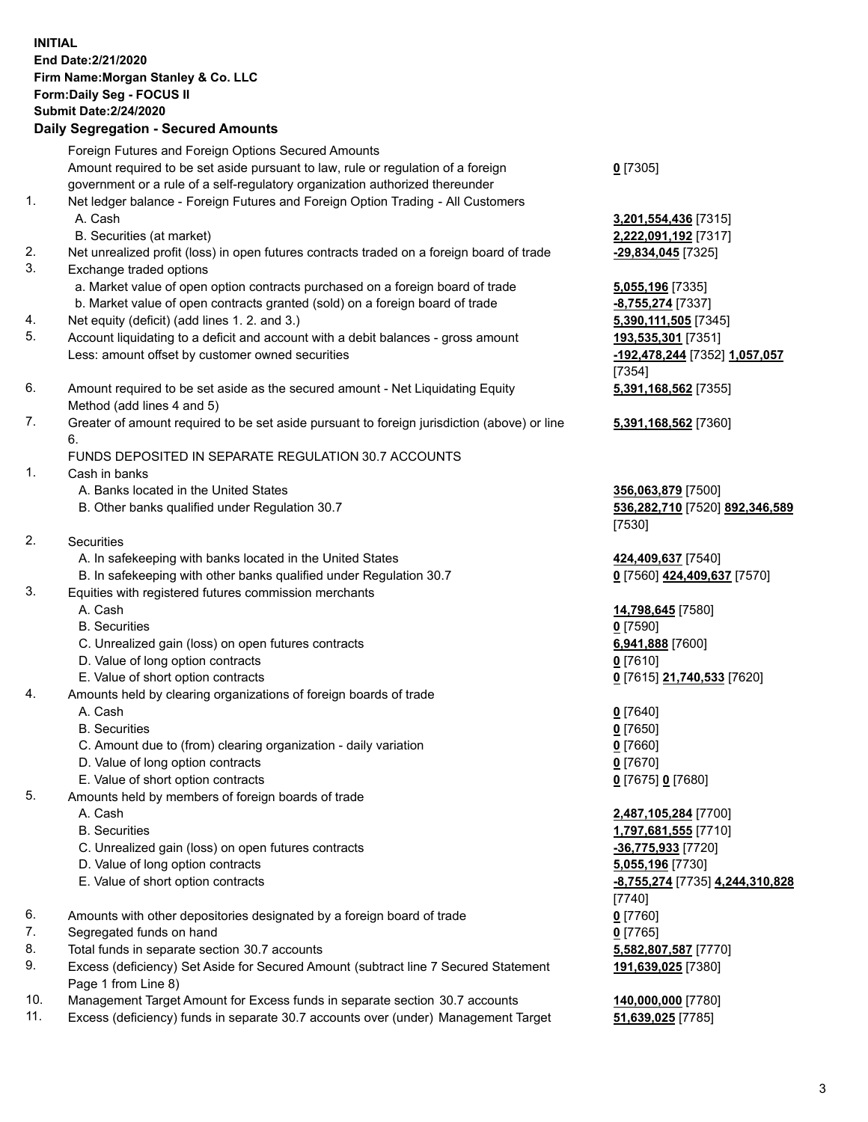## **INITIAL End Date:2/21/2020 Firm Name:Morgan Stanley & Co. LLC Form:Daily Seg - FOCUS II Submit Date:2/24/2020 Daily Segregation - Secured Amounts**

Foreign Futures and Foreign Options Secured Amounts Amount required to be set aside pursuant to law, rule or regulation of a foreign government or a rule of a self-regulatory organization authorized thereunder 1. Net ledger balance - Foreign Futures and Foreign Option Trading - All Customers A. Cash **3,201,554,436** [7315] B. Securities (at market) **2,222,091,192** [7317] 2. Net unrealized profit (loss) in open futures contracts traded on a foreign board of trade **-29,834,045** [7325] 3. Exchange traded options a. Market value of open option contracts purchased on a foreign board of trade **5,055,196** [7335] b. Market value of open contracts granted (sold) on a foreign board of trade **-8,755,274** [7337] 4. Net equity (deficit) (add lines 1. 2. and 3.) **5,390,111,505** [7345] 5. Account liquidating to a deficit and account with a debit balances - gross amount **193,535,301** [7351] Less: amount offset by customer owned securities **-192,478,244** [7352] **1,057,057** 6. Amount required to be set aside as the secured amount - Net Liquidating Equity Method (add lines 4 and 5) 7. Greater of amount required to be set aside pursuant to foreign jurisdiction (above) or line 6. FUNDS DEPOSITED IN SEPARATE REGULATION 30.7 ACCOUNTS 1. Cash in banks A. Banks located in the United States **356,063,879** [7500] B. Other banks qualified under Regulation 30.7 **536,282,710** [7520] **892,346,589** 2. Securities A. In safekeeping with banks located in the United States **424,409,637** [7540] B. In safekeeping with other banks qualified under Regulation 30.7 **0** [7560] **424,409,637** [7570] 3. Equities with registered futures commission merchants A. Cash **14,798,645** [7580] B. Securities **0** [7590] C. Unrealized gain (loss) on open futures contracts **6,941,888** [7600] D. Value of long option contracts **0** [7610] E. Value of short option contracts **0** [7615] **21,740,533** [7620] 4. Amounts held by clearing organizations of foreign boards of trade A. Cash **0** [7640] B. Securities **0** [7650] C. Amount due to (from) clearing organization - daily variation **0** [7660] D. Value of long option contracts **0** [7670] E. Value of short option contracts **0** [7675] **0** [7680]

- 5. Amounts held by members of foreign boards of trade
	-
	-
	- C. Unrealized gain (loss) on open futures contracts **-36,775,933** [7720]
	- D. Value of long option contracts **5,055,196** [7730]
	- E. Value of short option contracts **-8,755,274** [7735] **4,244,310,828**
- 6. Amounts with other depositories designated by a foreign board of trade **0** [7760]
- 7. Segregated funds on hand **0** [7765]
- 8. Total funds in separate section 30.7 accounts **5,582,807,587** [7770]
- 9. Excess (deficiency) Set Aside for Secured Amount (subtract line 7 Secured Statement Page 1 from Line 8)
- 10. Management Target Amount for Excess funds in separate section 30.7 accounts **140,000,000** [7780]
- 11. Excess (deficiency) funds in separate 30.7 accounts over (under) Management Target **51,639,025** [7785]

**0** [7305]

[7354] **5,391,168,562** [7355]

**5,391,168,562** [7360]

[7530]

 A. Cash **2,487,105,284** [7700] B. Securities **1,797,681,555** [7710] [7740] **191,639,025** [7380]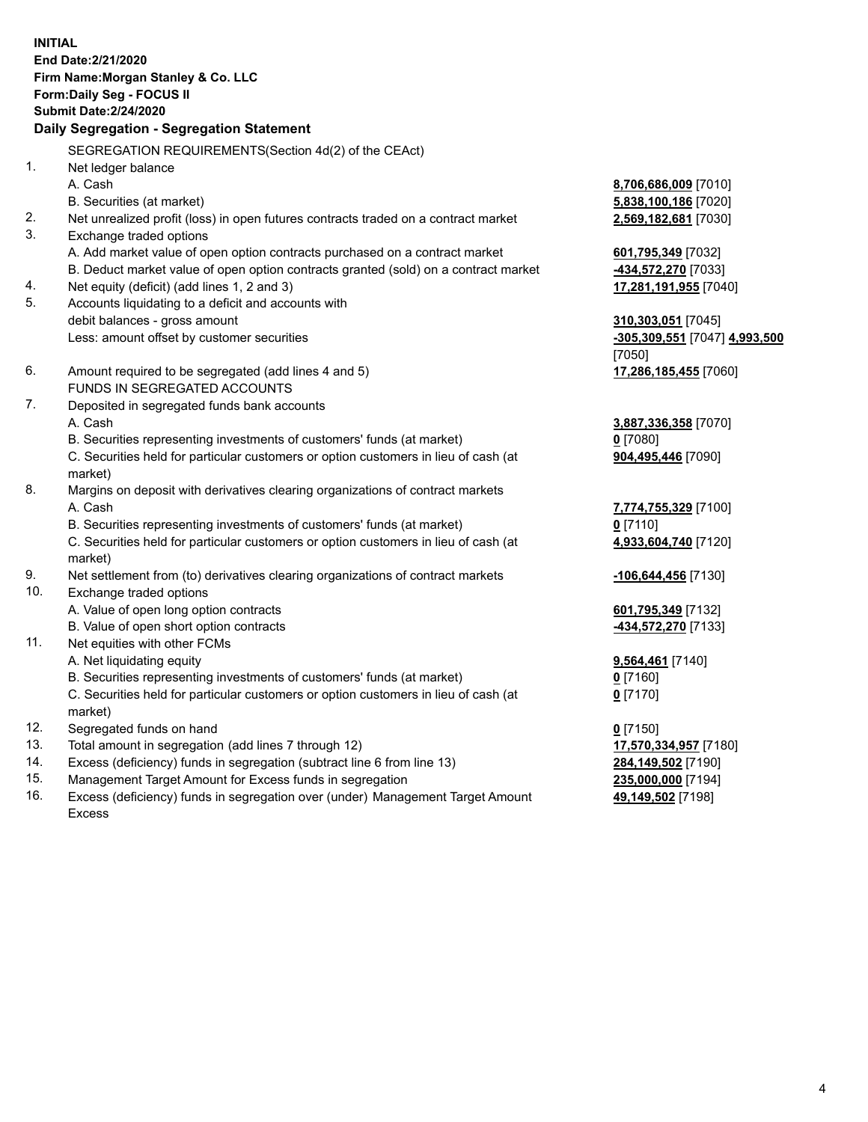**INITIAL End Date:2/21/2020 Firm Name:Morgan Stanley & Co. LLC Form:Daily Seg - FOCUS II Submit Date:2/24/2020 Daily Segregation - Segregation Statement** SEGREGATION REQUIREMENTS(Section 4d(2) of the CEAct) 1. Net ledger balance A. Cash **8,706,686,009** [7010] B. Securities (at market) **5,838,100,186** [7020] 2. Net unrealized profit (loss) in open futures contracts traded on a contract market **2,569,182,681** [7030] 3. Exchange traded options A. Add market value of open option contracts purchased on a contract market **601,795,349** [7032] B. Deduct market value of open option contracts granted (sold) on a contract market **-434,572,270** [7033] 4. Net equity (deficit) (add lines 1, 2 and 3) **17,281,191,955** [7040] 5. Accounts liquidating to a deficit and accounts with debit balances - gross amount **310,303,051** [7045] Less: amount offset by customer securities **-305,309,551** [7047] **4,993,500** [7050] 6. Amount required to be segregated (add lines 4 and 5) **17,286,185,455** [7060] FUNDS IN SEGREGATED ACCOUNTS 7. Deposited in segregated funds bank accounts A. Cash **3,887,336,358** [7070] B. Securities representing investments of customers' funds (at market) **0** [7080] C. Securities held for particular customers or option customers in lieu of cash (at market) **904,495,446** [7090] 8. Margins on deposit with derivatives clearing organizations of contract markets A. Cash **7,774,755,329** [7100] B. Securities representing investments of customers' funds (at market) **0** [7110] C. Securities held for particular customers or option customers in lieu of cash (at market) **4,933,604,740** [7120] 9. Net settlement from (to) derivatives clearing organizations of contract markets **-106,644,456** [7130] 10. Exchange traded options A. Value of open long option contracts **601,795,349** [7132] B. Value of open short option contracts **-434,572,270** [7133] 11. Net equities with other FCMs A. Net liquidating equity **9,564,461** [7140] B. Securities representing investments of customers' funds (at market) **0** [7160] C. Securities held for particular customers or option customers in lieu of cash (at market) **0** [7170] 12. Segregated funds on hand **0** [7150] 13. Total amount in segregation (add lines 7 through 12) **17,570,334,957** [7180] 14. Excess (deficiency) funds in segregation (subtract line 6 from line 13) **284,149,502** [7190] 15. Management Target Amount for Excess funds in segregation **235,000,000** [7194]

16. Excess (deficiency) funds in segregation over (under) Management Target Amount Excess

**49,149,502** [7198]